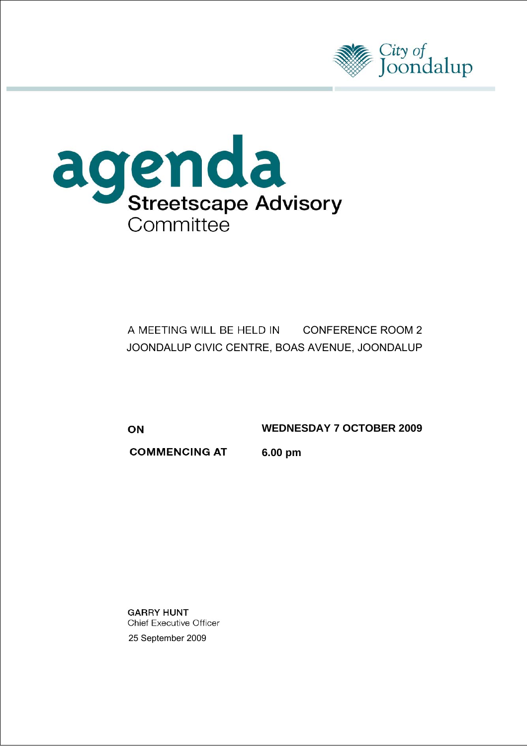



# A MEETING WILL BE HELD IN CONFERENCE ROOM 2 JOONDALUP CIVIC CENTRE, BOAS AVENUE, JOONDALUP

ON

**WEDNESDAY 7 OCTOBER 2009** 

**COMMENCING AT** 

**6.00 pm** 

**GARRY HUNT Chief Executive Officer** 25 September 2009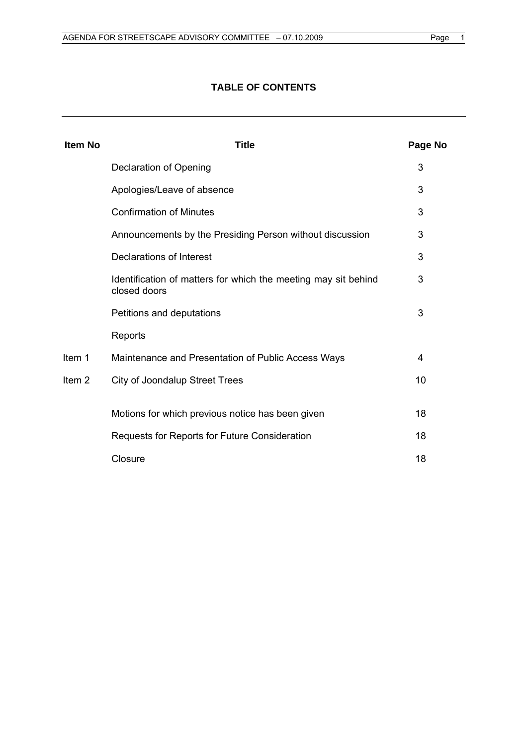# **TABLE OF CONTENTS**

| <b>Item No</b>    | <b>Title</b>                                                                   | Page No |
|-------------------|--------------------------------------------------------------------------------|---------|
|                   | Declaration of Opening                                                         | 3       |
|                   | Apologies/Leave of absence                                                     | 3       |
|                   | <b>Confirmation of Minutes</b>                                                 | 3       |
|                   | Announcements by the Presiding Person without discussion                       | 3       |
|                   | Declarations of Interest                                                       | 3       |
|                   | Identification of matters for which the meeting may sit behind<br>closed doors | 3       |
|                   | Petitions and deputations                                                      | 3       |
|                   | Reports                                                                        |         |
| Item 1            | Maintenance and Presentation of Public Access Ways                             | 4       |
| Item <sub>2</sub> | <b>City of Joondalup Street Trees</b>                                          | 10      |
|                   | Motions for which previous notice has been given                               | 18      |
|                   | Requests for Reports for Future Consideration                                  | 18      |
|                   | Closure                                                                        | 18      |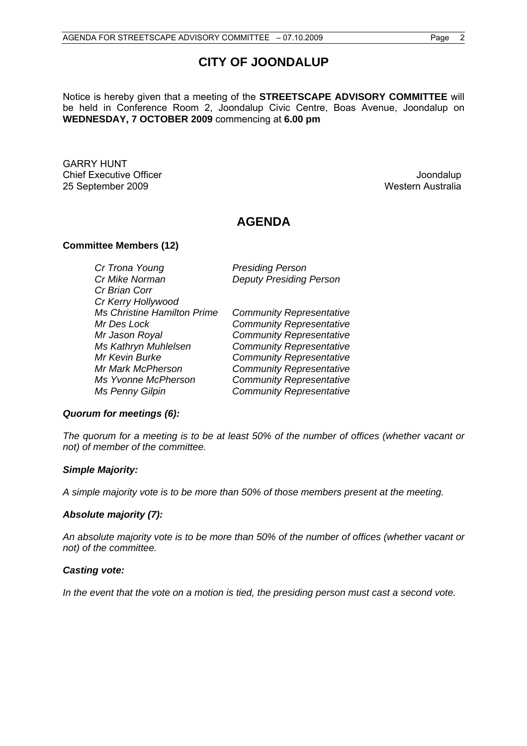# **CITY OF JOONDALUP**

Notice is hereby given that a meeting of the **STREETSCAPE ADVISORY COMMITTEE** will be held in Conference Room 2, Joondalup Civic Centre, Boas Avenue, Joondalup on **WEDNESDAY, 7 OCTOBER 2009** commencing at **6.00 pm** 

GARRY HUNT **Chief Executive Officer The Chief Executive Officer Joseph Activity Act 2006** 25 September 2009 Western Australia

# **AGENDA**

#### **Committee Members (12)**

| Cr Trona Young                     | <b>Presiding Person</b>         |
|------------------------------------|---------------------------------|
| Cr Mike Norman                     | <b>Deputy Presiding Person</b>  |
| Cr Brian Corr                      |                                 |
| Cr Kerry Hollywood                 |                                 |
| <b>Ms Christine Hamilton Prime</b> | <b>Community Representative</b> |
| Mr Des Lock                        | <b>Community Representative</b> |
| Mr Jason Royal                     | <b>Community Representative</b> |
| Ms Kathryn Muhlelsen               | <b>Community Representative</b> |
| Mr Kevin Burke                     | <b>Community Representative</b> |
| Mr Mark McPherson                  | <b>Community Representative</b> |
| Ms Yvonne McPherson                | <b>Community Representative</b> |
| Ms Penny Gilpin                    | <b>Community Representative</b> |

# *Quorum for meetings (6):*

*The quorum for a meeting is to be at least 50% of the number of offices (whether vacant or not) of member of the committee.* 

#### *Simple Majority:*

*A simple majority vote is to be more than 50% of those members present at the meeting.* 

#### *Absolute majority (7):*

*An absolute majority vote is to be more than 50% of the number of offices (whether vacant or not) of the committee.* 

#### *Casting vote:*

*In the event that the vote on a motion is tied, the presiding person must cast a second vote.*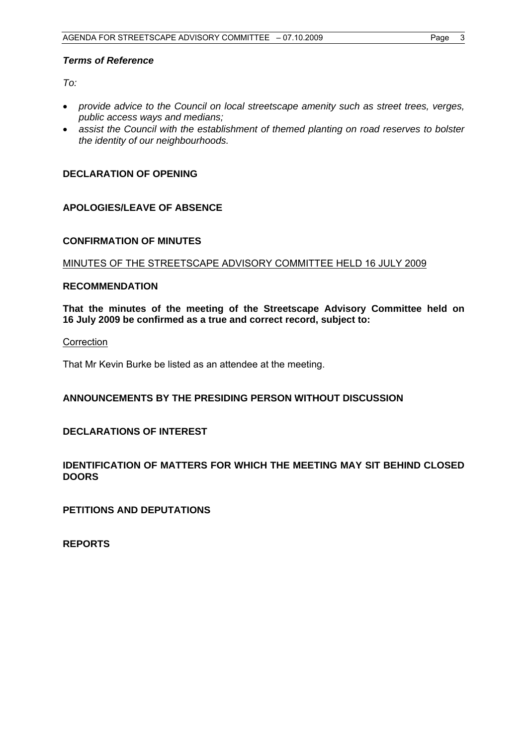#### <span id="page-3-0"></span>*Terms of Reference*

*To:* 

- *provide advice to the Council on local streetscape amenity such as street trees, verges, public access ways and medians;*
- *assist the Council with the establishment of themed planting on road reserves to bolster the identity of our neighbourhoods.*

## **DECLARATION OF OPENING**

#### **APOLOGIES/LEAVE OF ABSENCE**

#### **CONFIRMATION OF MINUTES**

MINUTES OF THE STREETSCAPE ADVISORY COMMITTEE HELD 16 JULY 2009

#### **RECOMMENDATION**

**That the minutes of the meeting of the Streetscape Advisory Committee held on 16 July 2009 be confirmed as a true and correct record, subject to:** 

#### **Correction**

That Mr Kevin Burke be listed as an attendee at the meeting.

#### **ANNOUNCEMENTS BY THE PRESIDING PERSON WITHOUT DISCUSSION**

# **DECLARATIONS OF INTEREST**

## **IDENTIFICATION OF MATTERS FOR WHICH THE MEETING MAY SIT BEHIND CLOSED DOORS**

**PETITIONS AND DEPUTATIONS** 

**REPORTS**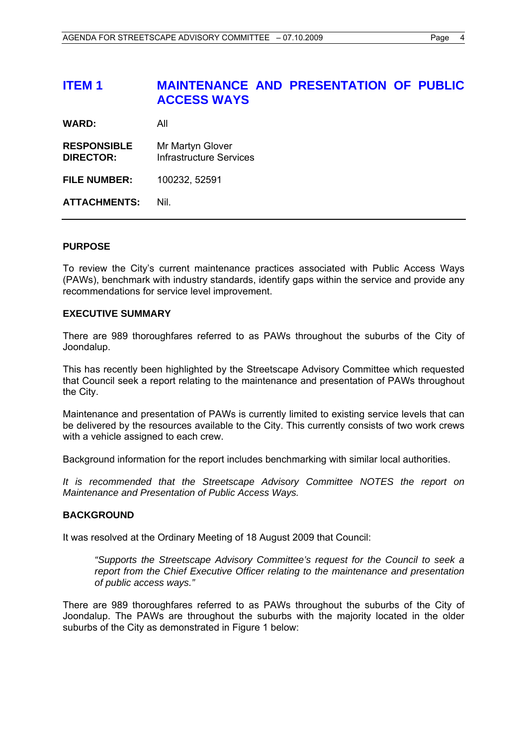# <span id="page-4-0"></span>**ITEM 1 MAINTENANCE AND PRESENTATION OF PUBLIC ACCESS WAYS**

**WARD:** All

**RESPONSIBLE** Mr Martyn Glover **DIRECTOR:** Infrastructure Services

**FILE NUMBER:** 100232, 52591

**ATTACHMENTS:** Nil.

#### **PURPOSE**

To review the City's current maintenance practices associated with Public Access Ways (PAWs), benchmark with industry standards, identify gaps within the service and provide any recommendations for service level improvement.

#### **EXECUTIVE SUMMARY**

There are 989 thoroughfares referred to as PAWs throughout the suburbs of the City of Joondalup.

This has recently been highlighted by the Streetscape Advisory Committee which requested that Council seek a report relating to the maintenance and presentation of PAWs throughout the City.

Maintenance and presentation of PAWs is currently limited to existing service levels that can be delivered by the resources available to the City. This currently consists of two work crews with a vehicle assigned to each crew.

Background information for the report includes benchmarking with similar local authorities.

*It is recommended that the Streetscape Advisory Committee NOTES the report on Maintenance and Presentation of Public Access Ways.* 

#### **BACKGROUND**

It was resolved at the Ordinary Meeting of 18 August 2009 that Council:

*"Supports the Streetscape Advisory Committee's request for the Council to seek a report from the Chief Executive Officer relating to the maintenance and presentation of public access ways."* 

There are 989 thoroughfares referred to as PAWs throughout the suburbs of the City of Joondalup. The PAWs are throughout the suburbs with the majority located in the older suburbs of the City as demonstrated in Figure 1 below: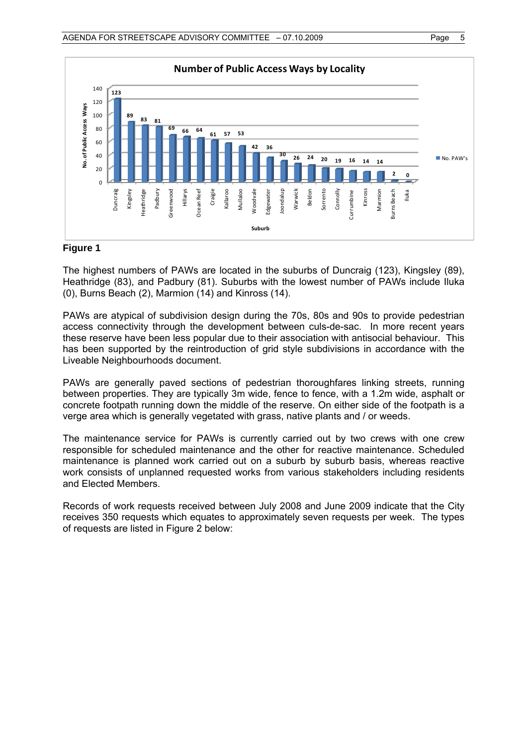

#### **Figure 1**

The highest numbers of PAWs are located in the suburbs of Duncraig (123), Kingsley (89), Heathridge (83), and Padbury (81). Suburbs with the lowest number of PAWs include Iluka (0), Burns Beach (2), Marmion (14) and Kinross (14).

PAWs are atypical of subdivision design during the 70s, 80s and 90s to provide pedestrian access connectivity through the development between culs-de-sac. In more recent years these reserve have been less popular due to their association with antisocial behaviour. This has been supported by the reintroduction of grid style subdivisions in accordance with the Liveable Neighbourhoods document.

PAWs are generally paved sections of pedestrian thoroughfares linking streets, running between properties. They are typically 3m wide, fence to fence, with a 1.2m wide, asphalt or concrete footpath running down the middle of the reserve. On either side of the footpath is a verge area which is generally vegetated with grass, native plants and / or weeds.

The maintenance service for PAWs is currently carried out by two crews with one crew responsible for scheduled maintenance and the other for reactive maintenance. Scheduled maintenance is planned work carried out on a suburb by suburb basis, whereas reactive work consists of unplanned requested works from various stakeholders including residents and Elected Members.

Records of work requests received between July 2008 and June 2009 indicate that the City receives 350 requests which equates to approximately seven requests per week. The types of requests are listed in Figure 2 below: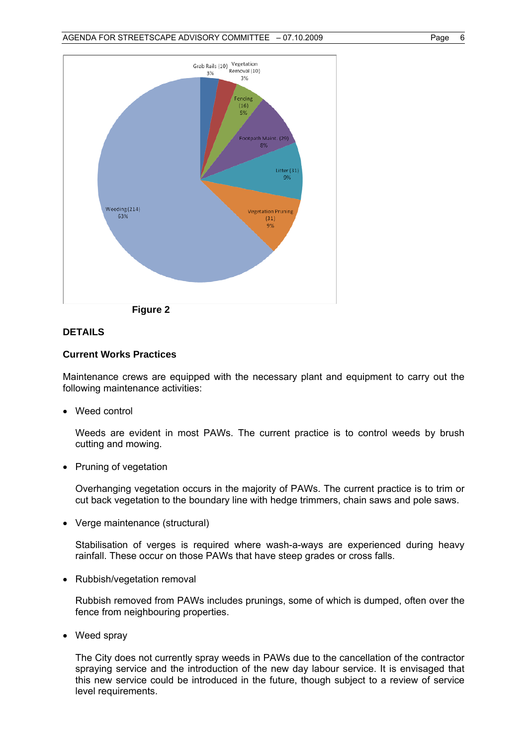



# **DETAILS**

#### **Current Works Practices**

Maintenance crews are equipped with the necessary plant and equipment to carry out the following maintenance activities:

• Weed control

Weeds are evident in most PAWs. The current practice is to control weeds by brush cutting and mowing.

• Pruning of vegetation

Overhanging vegetation occurs in the majority of PAWs. The current practice is to trim or cut back vegetation to the boundary line with hedge trimmers, chain saws and pole saws.

Verge maintenance (structural)

Stabilisation of verges is required where wash-a-ways are experienced during heavy rainfall. These occur on those PAWs that have steep grades or cross falls.

• Rubbish/vegetation removal

Rubbish removed from PAWs includes prunings, some of which is dumped, often over the fence from neighbouring properties.

• Weed spray

The City does not currently spray weeds in PAWs due to the cancellation of the contractor spraying service and the introduction of the new day labour service. It is envisaged that this new service could be introduced in the future, though subject to a review of service level requirements.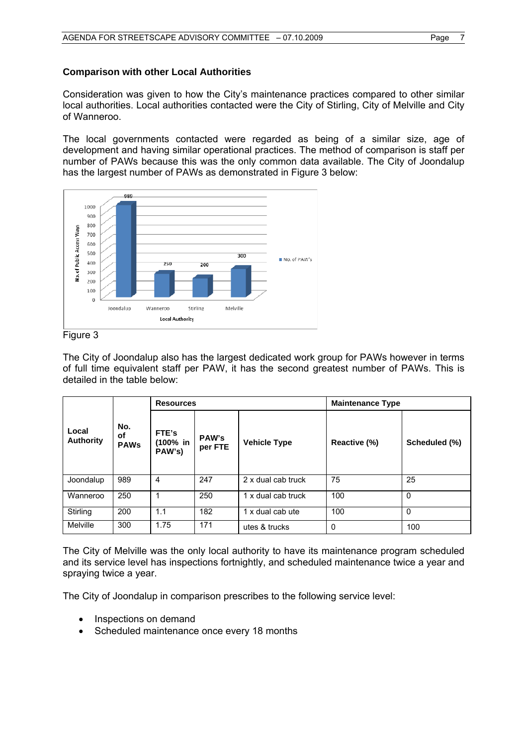Consideration was given to how the City's maintenance practices compared to other similar local authorities. Local authorities contacted were the City of Stirling, City of Melville and City of Wanneroo.

The local governments contacted were regarded as being of a similar size, age of development and having similar operational practices. The method of comparison is staff per number of PAWs because this was the only common data available. The City of Joondalup has the largest number of PAWs as demonstrated in Figure 3 below:



Figure 3

The City of Joondalup also has the largest dedicated work group for PAWs however in terms of full time equivalent staff per PAW, it has the second greatest number of PAWs. This is detailed in the table below:

|                           |                          | <b>Resources</b>            |                         |                     | <b>Maintenance Type</b> |               |  |  |
|---------------------------|--------------------------|-----------------------------|-------------------------|---------------------|-------------------------|---------------|--|--|
| Local<br><b>Authority</b> | No.<br>οf<br><b>PAWs</b> | FTE's<br>(100% in<br>PAW's) | <b>PAW's</b><br>per FTE | <b>Vehicle Type</b> | Reactive (%)            | Scheduled (%) |  |  |
| Joondalup                 | 989                      | 4                           | 247                     | 2 x dual cab truck  | 75                      | 25            |  |  |
| Wanneroo                  | 250                      |                             | 250                     | 1 x dual cab truck  | 100                     | $\Omega$      |  |  |
| Stirling                  | 200                      | 1.1                         | 182                     | 1 x dual cab ute    | 100                     | $\Omega$      |  |  |
| Melville                  | 300                      | 1.75                        | 171                     | utes & trucks       | 0                       | 100           |  |  |

The City of Melville was the only local authority to have its maintenance program scheduled and its service level has inspections fortnightly, and scheduled maintenance twice a year and spraying twice a year.

The City of Joondalup in comparison prescribes to the following service level:

- Inspections on demand
- Scheduled maintenance once every 18 months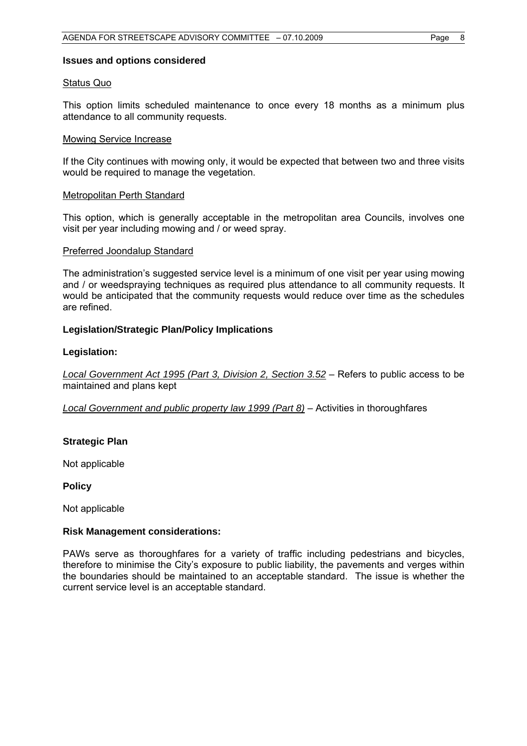#### **Issues and options considered**

#### Status Quo

This option limits scheduled maintenance to once every 18 months as a minimum plus attendance to all community requests.

#### Mowing Service Increase

If the City continues with mowing only, it would be expected that between two and three visits would be required to manage the vegetation.

#### Metropolitan Perth Standard

This option, which is generally acceptable in the metropolitan area Councils, involves one visit per year including mowing and / or weed spray.

#### Preferred Joondalup Standard

The administration's suggested service level is a minimum of one visit per year using mowing and / or weedspraying techniques as required plus attendance to all community requests. It would be anticipated that the community requests would reduce over time as the schedules are refined.

#### **Legislation/Strategic Plan/Policy Implications**

#### **Legislation:**

*Local Government Act 1995 (Part 3, Division 2, Section 3.52* – Refers to public access to be maintained and plans kept

*Local Government and public property law 1999 (Part 8)* – Activities in thoroughfares

#### **Strategic Plan**

Not applicable

**Policy** 

Not applicable

#### **Risk Management considerations:**

PAWs serve as thoroughfares for a variety of traffic including pedestrians and bicycles, therefore to minimise the City's exposure to public liability, the pavements and verges within the boundaries should be maintained to an acceptable standard. The issue is whether the current service level is an acceptable standard.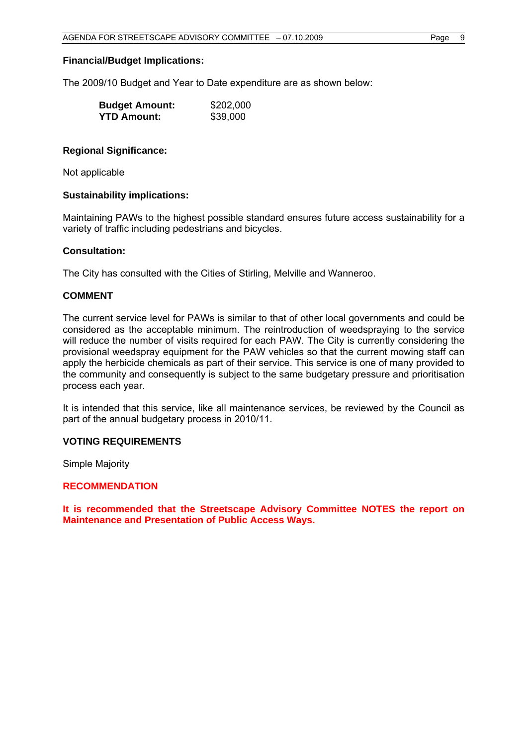#### **Financial/Budget Implications:**

The 2009/10 Budget and Year to Date expenditure are as shown below:

| <b>Budget Amount:</b> | \$202,000 |
|-----------------------|-----------|
| <b>YTD Amount:</b>    | \$39,000  |

#### **Regional Significance:**

Not applicable

#### **Sustainability implications:**

Maintaining PAWs to the highest possible standard ensures future access sustainability for a variety of traffic including pedestrians and bicycles.

#### **Consultation:**

The City has consulted with the Cities of Stirling, Melville and Wanneroo.

#### **COMMENT**

The current service level for PAWs is similar to that of other local governments and could be considered as the acceptable minimum. The reintroduction of weedspraying to the service will reduce the number of visits required for each PAW. The City is currently considering the provisional weedspray equipment for the PAW vehicles so that the current mowing staff can apply the herbicide chemicals as part of their service. This service is one of many provided to the community and consequently is subject to the same budgetary pressure and prioritisation process each year.

It is intended that this service, like all maintenance services, be reviewed by the Council as part of the annual budgetary process in 2010/11.

#### **VOTING REQUIREMENTS**

Simple Majority

#### **RECOMMENDATION**

**It is recommended that the Streetscape Advisory Committee NOTES the report on Maintenance and Presentation of Public Access Ways.**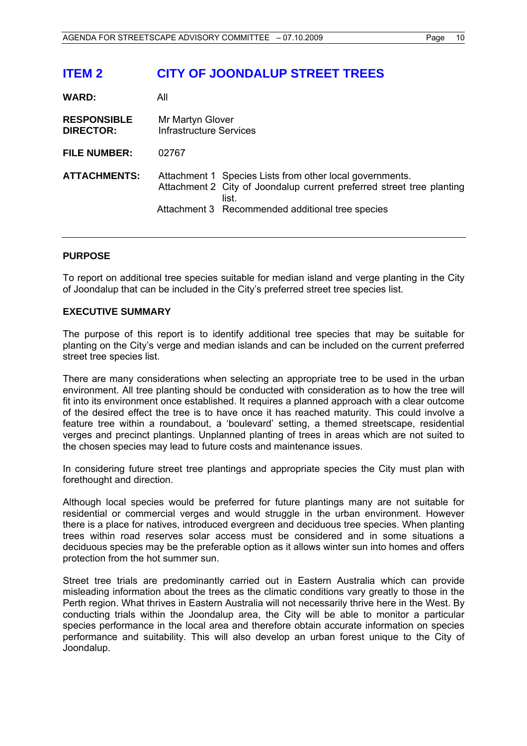# <span id="page-10-0"></span>**ITEM 2 CITY OF JOONDALUP STREET TREES**

| WARD:                                  | All                                                                                                                                                                                            |
|----------------------------------------|------------------------------------------------------------------------------------------------------------------------------------------------------------------------------------------------|
| <b>RESPONSIBLE</b><br><b>DIRECTOR:</b> | Mr Martyn Glover<br><b>Infrastructure Services</b>                                                                                                                                             |
| <b>FILE NUMBER:</b>                    | 02767                                                                                                                                                                                          |
| <b>ATTACHMENTS:</b>                    | Attachment 1 Species Lists from other local governments.<br>Attachment 2 City of Joondalup current preferred street tree planting<br>list.<br>Attachment 3 Recommended additional tree species |

## **PURPOSE**

To report on additional tree species suitable for median island and verge planting in the City of Joondalup that can be included in the City's preferred street tree species list.

#### **EXECUTIVE SUMMARY**

The purpose of this report is to identify additional tree species that may be suitable for planting on the City's verge and median islands and can be included on the current preferred street tree species list.

There are many considerations when selecting an appropriate tree to be used in the urban environment. All tree planting should be conducted with consideration as to how the tree will fit into its environment once established. It requires a planned approach with a clear outcome of the desired effect the tree is to have once it has reached maturity. This could involve a feature tree within a roundabout, a 'boulevard' setting, a themed streetscape, residential verges and precinct plantings. Unplanned planting of trees in areas which are not suited to the chosen species may lead to future costs and maintenance issues.

In considering future street tree plantings and appropriate species the City must plan with forethought and direction.

Although local species would be preferred for future plantings many are not suitable for residential or commercial verges and would struggle in the urban environment. However there is a place for natives, introduced evergreen and deciduous tree species. When planting trees within road reserves solar access must be considered and in some situations a deciduous species may be the preferable option as it allows winter sun into homes and offers protection from the hot summer sun.

Street tree trials are predominantly carried out in Eastern Australia which can provide misleading information about the trees as the climatic conditions vary greatly to those in the Perth region. What thrives in Eastern Australia will not necessarily thrive here in the West. By conducting trials within the Joondalup area, the City will be able to monitor a particular species performance in the local area and therefore obtain accurate information on species performance and suitability. This will also develop an urban forest unique to the City of Joondalup.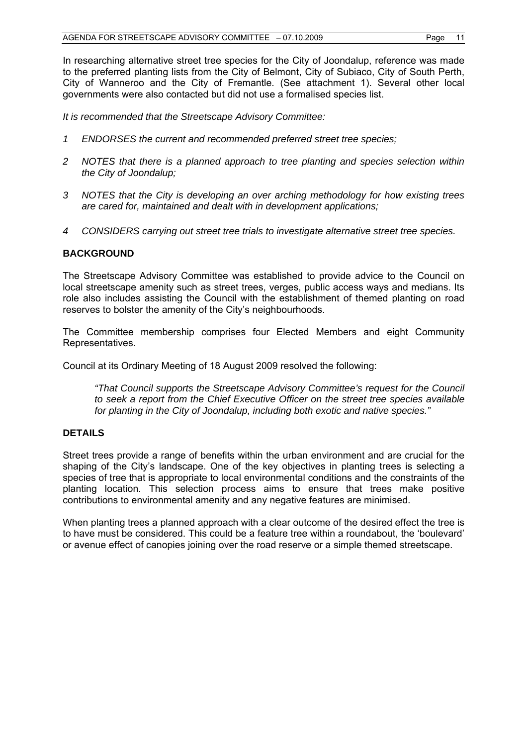In researching alternative street tree species for the City of Joondalup, reference was made to the preferred planting lists from the City of Belmont, City of Subiaco, City of South Perth, City of Wanneroo and the City of Fremantle. (See attachment 1). Several other local governments were also contacted but did not use a formalised species list.

*It is recommended that the Streetscape Advisory Committee:* 

- *1 ENDORSES the current and recommended preferred street tree species;*
- *2 NOTES that there is a planned approach to tree planting and species selection within the City of Joondalup;*
- *3 NOTES that the City is developing an over arching methodology for how existing trees are cared for, maintained and dealt with in development applications;*
- *4 CONSIDERS carrying out street tree trials to investigate alternative street tree species.*

# **BACKGROUND**

The Streetscape Advisory Committee was established to provide advice to the Council on local streetscape amenity such as street trees, verges, public access ways and medians. Its role also includes assisting the Council with the establishment of themed planting on road reserves to bolster the amenity of the City's neighbourhoods.

The Committee membership comprises four Elected Members and eight Community Representatives.

Council at its Ordinary Meeting of 18 August 2009 resolved the following:

*"That Council supports the Streetscape Advisory Committee's request for the Council to seek a report from the Chief Executive Officer on the street tree species available for planting in the City of Joondalup, including both exotic and native species."* 

#### **DETAILS**

Street trees provide a range of benefits within the urban environment and are crucial for the shaping of the City's landscape. One of the key objectives in planting trees is selecting a species of tree that is appropriate to local environmental conditions and the constraints of the planting location. This selection process aims to ensure that trees make positive contributions to environmental amenity and any negative features are minimised.

When planting trees a planned approach with a clear outcome of the desired effect the tree is to have must be considered. This could be a feature tree within a roundabout, the 'boulevard' or avenue effect of canopies joining over the road reserve or a simple themed streetscape.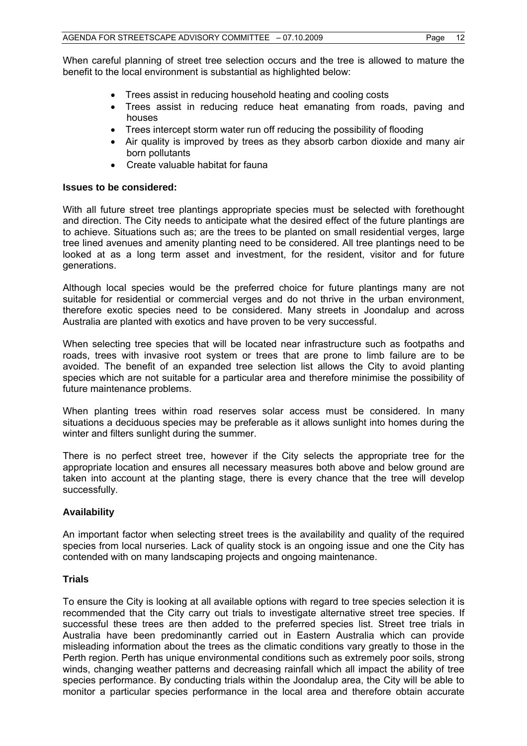When careful planning of street tree selection occurs and the tree is allowed to mature the benefit to the local environment is substantial as highlighted below:

- Trees assist in reducing household heating and cooling costs
- Trees assist in reducing reduce heat emanating from roads, paving and houses
- Trees intercept storm water run off reducing the possibility of flooding
- Air quality is improved by trees as they absorb carbon dioxide and many air born pollutants
- Create valuable habitat for fauna

### **Issues to be considered:**

With all future street tree plantings appropriate species must be selected with forethought and direction. The City needs to anticipate what the desired effect of the future plantings are to achieve. Situations such as; are the trees to be planted on small residential verges, large tree lined avenues and amenity planting need to be considered. All tree plantings need to be looked at as a long term asset and investment, for the resident, visitor and for future generations.

Although local species would be the preferred choice for future plantings many are not suitable for residential or commercial verges and do not thrive in the urban environment, therefore exotic species need to be considered. Many streets in Joondalup and across Australia are planted with exotics and have proven to be very successful.

When selecting tree species that will be located near infrastructure such as footpaths and roads, trees with invasive root system or trees that are prone to limb failure are to be avoided. The benefit of an expanded tree selection list allows the City to avoid planting species which are not suitable for a particular area and therefore minimise the possibility of future maintenance problems.

When planting trees within road reserves solar access must be considered. In many situations a deciduous species may be preferable as it allows sunlight into homes during the winter and filters sunlight during the summer.

There is no perfect street tree, however if the City selects the appropriate tree for the appropriate location and ensures all necessary measures both above and below ground are taken into account at the planting stage, there is every chance that the tree will develop successfully.

# **Availability**

An important factor when selecting street trees is the availability and quality of the required species from local nurseries. Lack of quality stock is an ongoing issue and one the City has contended with on many landscaping projects and ongoing maintenance.

# **Trials**

To ensure the City is looking at all available options with regard to tree species selection it is recommended that the City carry out trials to investigate alternative street tree species. If successful these trees are then added to the preferred species list. Street tree trials in Australia have been predominantly carried out in Eastern Australia which can provide misleading information about the trees as the climatic conditions vary greatly to those in the Perth region. Perth has unique environmental conditions such as extremely poor soils, strong winds, changing weather patterns and decreasing rainfall which all impact the ability of tree species performance. By conducting trials within the Joondalup area, the City will be able to monitor a particular species performance in the local area and therefore obtain accurate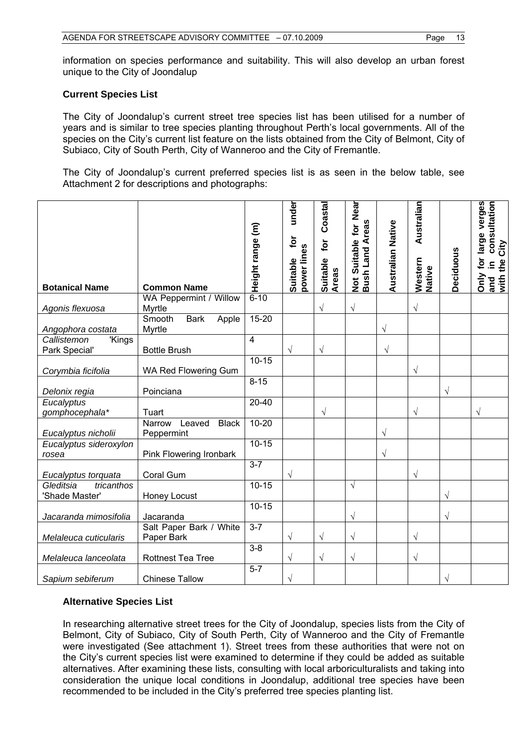information on species performance and suitability. This will also develop an urban forest unique to the City of Joondalup

## **Current Species List**

The City of Joondalup's current street tree species list has been utilised for a number of years and is similar to tree species planting throughout Perth's local governments. All of the species on the City's current list feature on the lists obtained from the City of Belmont, City of Subiaco, City of South Perth, City of Wanneroo and the City of Fremantle.

The City of Joondalup's current preferred species list is as seen in the below table, see Attachment 2 for descriptions and photographs:

| <b>Botanical Name</b>                     | <b>Common Name</b><br>WA Peppermint / Willow   | Height range (m)<br>$6 - 10$ | under<br>for<br>power lines<br>Suitable | Coastal<br>tor<br>Suitable<br><b>Areas</b> | Not Suitable for Near<br>Bush Land Areas | <b>Australian Native</b> | Australian<br>Western<br>Native | Deciduous | large verges<br>consultation<br>City<br>tor<br>and in<br>with the (<br>Only |
|-------------------------------------------|------------------------------------------------|------------------------------|-----------------------------------------|--------------------------------------------|------------------------------------------|--------------------------|---------------------------------|-----------|-----------------------------------------------------------------------------|
| Agonis flexuosa                           | Myrtle                                         |                              |                                         | $\sqrt{}$                                  | $\sqrt{ }$                               |                          | $\sqrt{}$                       |           |                                                                             |
| Angophora costata                         | Smooth<br><b>Bark</b><br>Apple<br>Myrtle       | $15 - 20$                    |                                         |                                            |                                          | $\sqrt{ }$               |                                 |           |                                                                             |
| Callistemon<br>'Kings                     |                                                | $\overline{4}$               |                                         |                                            |                                          |                          |                                 |           |                                                                             |
| Park Special'                             | <b>Bottle Brush</b>                            | $10 - 15$                    | $\sqrt{}$                               | $\sqrt{}$                                  |                                          | $\sqrt{}$                |                                 |           |                                                                             |
| Corymbia ficifolia                        | WA Red Flowering Gum                           |                              |                                         |                                            |                                          |                          | $\sqrt{}$                       |           |                                                                             |
| Delonix regia                             | Poinciana                                      | $8 - 15$                     |                                         |                                            |                                          |                          |                                 | $\sqrt{}$ |                                                                             |
| Eucalyptus<br>gomphocephala*              | Tuart                                          | $20 - 40$                    |                                         | $\sqrt{}$                                  |                                          |                          | $\sqrt{}$                       |           | V                                                                           |
| Eucalyptus nicholii                       | <b>Black</b><br>Narrow<br>Leaved<br>Peppermint | $10 - 20$                    |                                         |                                            |                                          | V                        |                                 |           |                                                                             |
| Eucalyptus sideroxylon<br>rosea           | Pink Flowering Ironbark                        | $10 - 15$                    |                                         |                                            |                                          | $\mathcal{N}$            |                                 |           |                                                                             |
| Eucalyptus torquata                       | Coral Gum                                      | $3 - 7$                      | N                                       |                                            |                                          |                          | $\sqrt{}$                       |           |                                                                             |
| Gleditsia<br>tricanthos<br>'Shade Master' | Honey Locust                                   | $10 - 15$                    |                                         |                                            | $\sqrt{ }$                               |                          |                                 | $\sqrt{}$ |                                                                             |
| Jacaranda mimosifolia                     | Jacaranda                                      | $10 - 15$                    |                                         |                                            | $\sqrt{}$                                |                          |                                 | $\sqrt{}$ |                                                                             |
| Melaleuca cuticularis                     | Salt Paper Bark / White<br>Paper Bark          | $3 - 7$                      | V                                       | $\sqrt{}$                                  | $\sqrt{}$                                |                          | $\sqrt{}$                       |           |                                                                             |
| Melaleuca lanceolata                      | Rottnest Tea Tree                              | $3 - 8$                      | N                                       | $\sqrt{}$                                  | $\sqrt{}$                                |                          | $\sqrt{}$                       |           |                                                                             |
| Sapium sebiferum                          | <b>Chinese Tallow</b>                          | $5 - 7$                      |                                         |                                            |                                          |                          |                                 | √         |                                                                             |

# **Alternative Species List**

In researching alternative street trees for the City of Joondalup, species lists from the City of Belmont, City of Subiaco, City of South Perth, City of Wanneroo and the City of Fremantle were investigated (See attachment 1). Street trees from these authorities that were not on the City's current species list were examined to determine if they could be added as suitable alternatives. After examining these lists, consulting with local arboriculturalists and taking into consideration the unique local conditions in Joondalup, additional tree species have been recommended to be included in the City's preferred tree species planting list.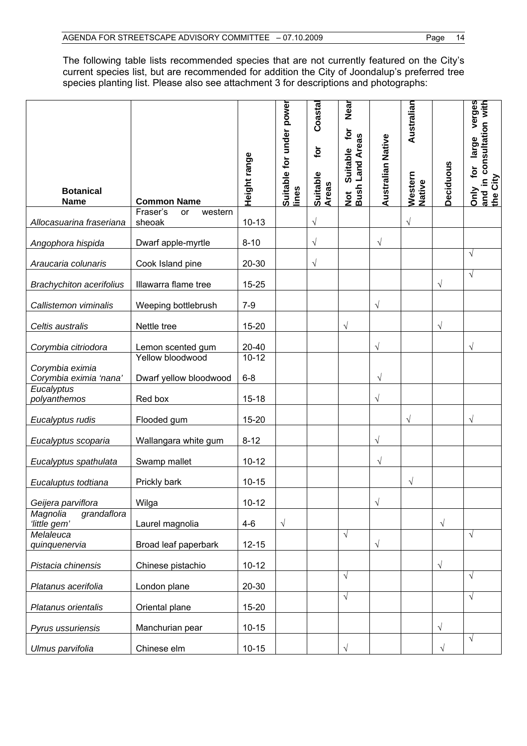The following table lists recommended species that are not currently featured on the City's current species list, but are recommended for addition the City of Joondalup's preferred tree species planting list. Please also see attachment 3 for descriptions and photographs:

| <b>Botanical</b><br><b>Name</b>         | <b>Common Name</b>                    | Height range           | Suitable for under power<br>lines | Coastal<br>tor<br>Suitable<br>Areas | Near<br>$\mathbf{\tilde{e}}$<br>Not Suitable ror<br>Bush Land Areas | Australian Native | Australian<br>Western<br>Native | Deciduous  | verges<br>in consultation with<br>large<br>tor<br>and in o<br>the City<br>Only |
|-----------------------------------------|---------------------------------------|------------------------|-----------------------------------|-------------------------------------|---------------------------------------------------------------------|-------------------|---------------------------------|------------|--------------------------------------------------------------------------------|
| Allocasuarina fraseriana                | Fraser's<br>western<br>or<br>sheoak   | $10 - 13$              |                                   | $\sqrt{}$                           |                                                                     |                   | $\sqrt{}$                       |            |                                                                                |
| Angophora hispida                       | Dwarf apple-myrtle                    | $8 - 10$               |                                   | $\sqrt{}$                           |                                                                     | $\sqrt{ }$        |                                 |            |                                                                                |
| Araucaria colunaris                     | Cook Island pine                      | 20-30                  |                                   | $\sqrt{}$                           |                                                                     |                   |                                 |            | $\sqrt{}$                                                                      |
| <b>Brachychiton acerifolius</b>         | Illawarra flame tree                  | $15 - 25$              |                                   |                                     |                                                                     |                   |                                 | $\sqrt{}$  | √                                                                              |
| Callistemon viminalis                   | Weeping bottlebrush                   | $7-9$                  |                                   |                                     |                                                                     | $\sqrt{}$         |                                 |            |                                                                                |
| Celtis australis                        | Nettle tree                           | 15-20                  |                                   |                                     | $\sqrt{ }$                                                          |                   |                                 | $\sqrt{}$  |                                                                                |
| Corymbia citriodora<br>Corymbia eximia  | Lemon scented gum<br>Yellow bloodwood | $20 - 40$<br>$10 - 12$ |                                   |                                     |                                                                     | $\sqrt{}$         |                                 |            | $\sqrt{}$                                                                      |
| Corymbia eximia 'nana'<br>Eucalyptus    | Dwarf yellow bloodwood                | $6 - 8$                |                                   |                                     |                                                                     | $\sqrt{ }$        |                                 |            |                                                                                |
| polyanthemos                            | Red box                               | $15 - 18$              |                                   |                                     |                                                                     | $\sqrt{}$         |                                 |            |                                                                                |
| Eucalyptus rudis                        | Flooded gum                           | 15-20                  |                                   |                                     |                                                                     |                   | V                               |            | V                                                                              |
| Eucalyptus scoparia                     | Wallangara white gum                  | $8 - 12$               |                                   |                                     |                                                                     | $\sqrt{}$         |                                 |            |                                                                                |
| Eucalyptus spathulata                   | Swamp mallet                          | $10 - 12$              |                                   |                                     |                                                                     | $\sqrt{}$         |                                 |            |                                                                                |
| Eucaluptus todtiana                     | Prickly bark                          | $10 - 15$              |                                   |                                     |                                                                     |                   | $\sqrt{}$                       |            |                                                                                |
| Geijera parviflora                      | Wilga                                 | $10 - 12$              |                                   |                                     |                                                                     | $\sqrt{}$         |                                 |            |                                                                                |
| grandaflora<br>Magnolia<br>'little gem' | Laurel magnolia                       | $4-6$                  | $\sqrt{}$                         |                                     |                                                                     |                   |                                 | $\sqrt{ }$ |                                                                                |
| Melaleuca<br>quinquenervia              | Broad leaf paperbark                  | $12 - 15$              |                                   |                                     | $\sqrt{}$                                                           | $\sqrt{}$         |                                 |            | $\sqrt{}$                                                                      |
| Pistacia chinensis                      | Chinese pistachio                     | $10 - 12$              |                                   |                                     |                                                                     |                   |                                 | $\sqrt{ }$ |                                                                                |
| Platanus acerifolia                     | London plane                          | $20 - 30$              |                                   |                                     | $\sqrt{ }$                                                          |                   |                                 |            | $\sqrt{}$                                                                      |
| Platanus orientalis                     | Oriental plane                        | 15-20                  |                                   |                                     | $\sqrt{}$                                                           |                   |                                 |            | $\sqrt{ }$                                                                     |
| Pyrus ussuriensis                       | Manchurian pear                       | $10 - 15$              |                                   |                                     |                                                                     |                   |                                 | $\sqrt{}$  |                                                                                |
| Ulmus parvifolia                        | Chinese elm                           | $10 - 15$              |                                   |                                     | $\sqrt{2}$                                                          |                   |                                 | $\sqrt{}$  | $\sqrt{}$                                                                      |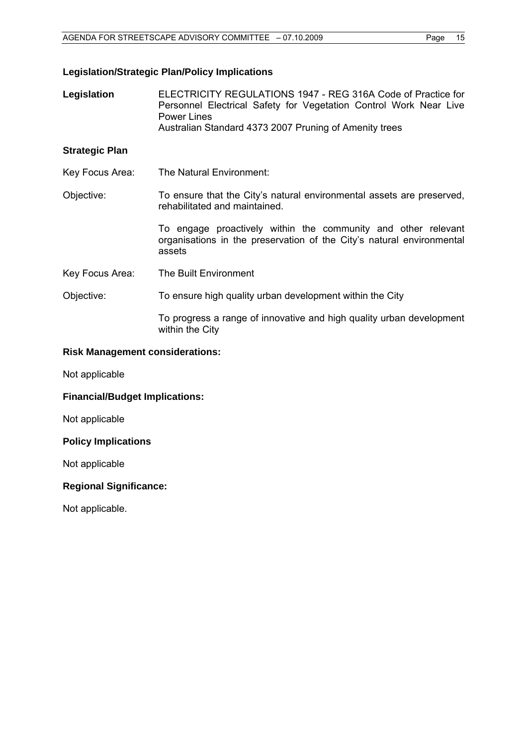### **Legislation/Strategic Plan/Policy Implications**

**Legislation** ELECTRICITY REGULATIONS 1947 - REG 316A Code of Practice for Personnel Electrical Safety for Vegetation Control Work Near Live Power Lines Australian Standard 4373 2007 Pruning of Amenity trees

# **Strategic Plan**

- Key Focus Area: The Natural Environment:
- Objective: To ensure that the City's natural environmental assets are preserved, rehabilitated and maintained.

To engage proactively within the community and other relevant organisations in the preservation of the City's natural environmental assets

- Key Focus Area: The Built Environment
- Objective: To ensure high quality urban development within the City

To progress a range of innovative and high quality urban development within the City

#### **Risk Management considerations:**

Not applicable

**Financial/Budget Implications:** 

Not applicable

#### **Policy Implications**

Not applicable

#### **Regional Significance:**

Not applicable.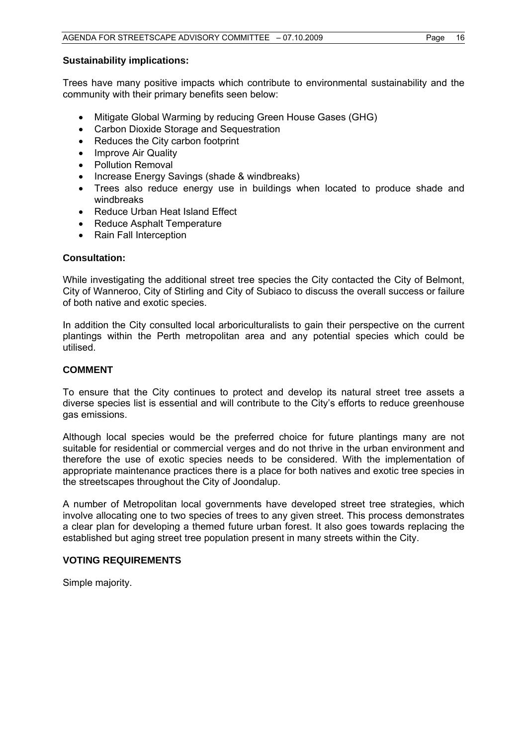#### **Sustainability implications:**

Trees have many positive impacts which contribute to environmental sustainability and the community with their primary benefits seen below:

- Mitigate Global Warming by reducing Green House Gases (GHG)
- Carbon Dioxide Storage and Sequestration
- Reduces the City carbon footprint
- Improve Air Quality
- Pollution Removal
- Increase Energy Savings (shade & windbreaks)
- Trees also reduce energy use in buildings when located to produce shade and windbreaks
- Reduce Urban Heat Island Effect
- Reduce Asphalt Temperature
- Rain Fall Interception

## **Consultation:**

While investigating the additional street tree species the City contacted the City of Belmont, City of Wanneroo, City of Stirling and City of Subiaco to discuss the overall success or failure of both native and exotic species.

In addition the City consulted local arboriculturalists to gain their perspective on the current plantings within the Perth metropolitan area and any potential species which could be utilised.

# **COMMENT**

To ensure that the City continues to protect and develop its natural street tree assets a diverse species list is essential and will contribute to the City's efforts to reduce greenhouse gas emissions.

Although local species would be the preferred choice for future plantings many are not suitable for residential or commercial verges and do not thrive in the urban environment and therefore the use of exotic species needs to be considered. With the implementation of appropriate maintenance practices there is a place for both natives and exotic tree species in the streetscapes throughout the City of Joondalup.

A number of Metropolitan local governments have developed street tree strategies, which involve allocating one to two species of trees to any given street. This process demonstrates a clear plan for developing a themed future urban forest. It also goes towards replacing the established but aging street tree population present in many streets within the City.

# **VOTING REQUIREMENTS**

Simple majority.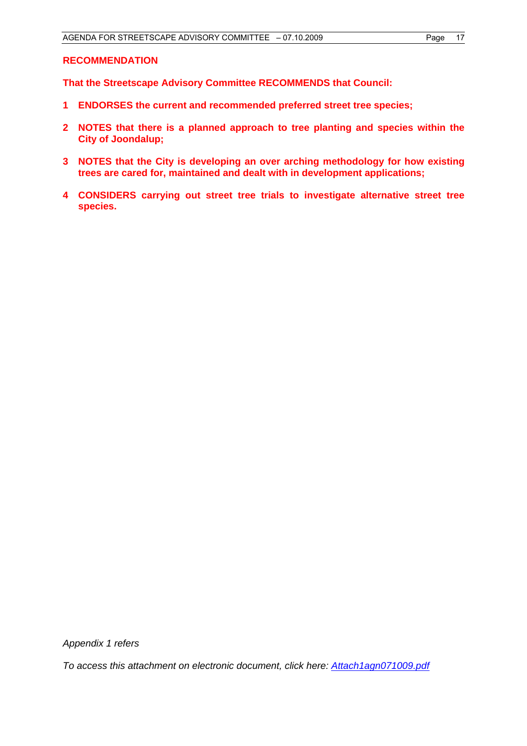#### **RECOMMENDATION**

**That the Streetscape Advisory Committee RECOMMENDS that Council:** 

- **1 ENDORSES the current and recommended preferred street tree species;**
- **2 NOTES that there is a planned approach to tree planting and species within the City of Joondalup;**
- **3 NOTES that the City is developing an over arching methodology for how existing trees are cared for, maintained and dealt with in development applications;**
- **4 CONSIDERS carrying out street tree trials to investigate alternative street tree species.**

*Appendix 1 refers* 

*To access this attachment on electronic document, click here: <Attach1agn071009.pdf>*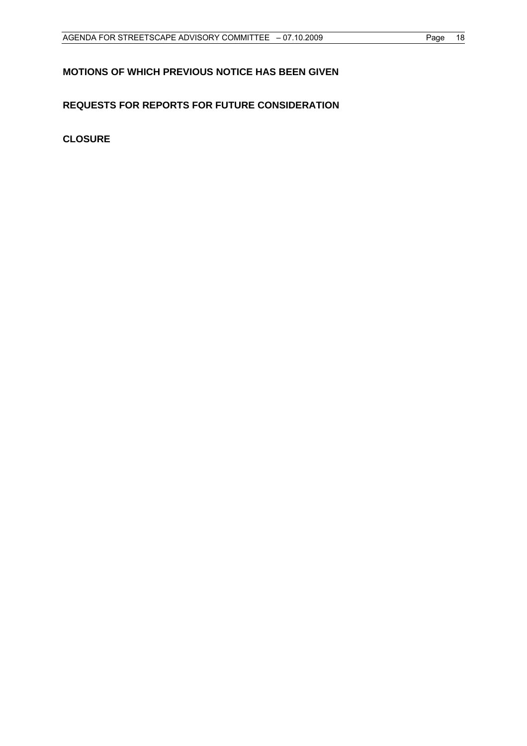# <span id="page-18-0"></span>**MOTIONS OF WHICH PREVIOUS NOTICE HAS BEEN GIVEN**

# **REQUESTS FOR REPORTS FOR FUTURE CONSIDERATION**

**CLOSURE**